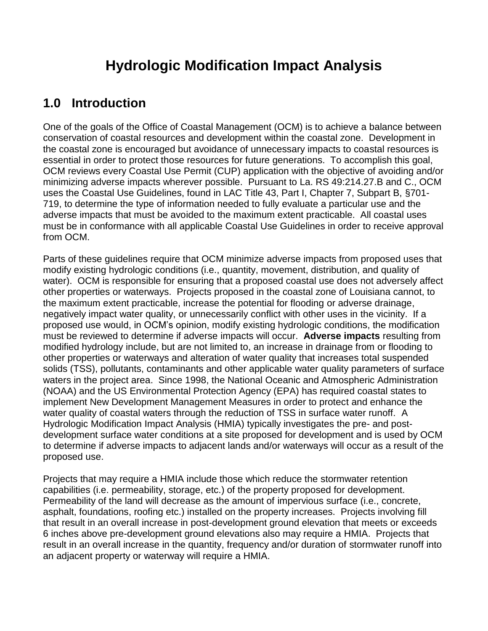# **Hydrologic Modification Impact Analysis**

## **1.0 Introduction**

One of the goals of the Office of Coastal Management (OCM) is to achieve a balance between conservation of coastal resources and development within the coastal zone. Development in the coastal zone is encouraged but avoidance of unnecessary impacts to coastal resources is essential in order to protect those resources for future generations. To accomplish this goal, OCM reviews every Coastal Use Permit (CUP) application with the objective of avoiding and/or minimizing adverse impacts wherever possible. Pursuant to La. RS 49:214.27.B and C., OCM uses the Coastal Use Guidelines, found in LAC Title 43, Part I, Chapter 7, Subpart B, §701- 719, to determine the type of information needed to fully evaluate a particular use and the adverse impacts that must be avoided to the maximum extent practicable. All coastal uses must be in conformance with all applicable Coastal Use Guidelines in order to receive approval from OCM.

Parts of these guidelines require that OCM minimize adverse impacts from proposed uses that modify existing hydrologic conditions (i.e., quantity, movement, distribution, and quality of water). OCM is responsible for ensuring that a proposed coastal use does not adversely affect other properties or waterways. Projects proposed in the coastal zone of Louisiana cannot, to the maximum extent practicable, increase the potential for flooding or adverse drainage, negatively impact water quality, or unnecessarily conflict with other uses in the vicinity. If a proposed use would, in OCM's opinion, modify existing hydrologic conditions, the modification must be reviewed to determine if adverse impacts will occur. **Adverse impacts** resulting from modified hydrology include, but are not limited to, an increase in drainage from or flooding to other properties or waterways and alteration of water quality that increases total suspended solids (TSS), pollutants, contaminants and other applicable water quality parameters of surface waters in the project area. Since 1998, the National Oceanic and Atmospheric Administration (NOAA) and the US Environmental Protection Agency (EPA) has required coastal states to implement New Development Management Measures in order to protect and enhance the water quality of coastal waters through the reduction of TSS in surface water runoff. A Hydrologic Modification Impact Analysis (HMIA) typically investigates the pre- and postdevelopment surface water conditions at a site proposed for development and is used by OCM to determine if adverse impacts to adjacent lands and/or waterways will occur as a result of the proposed use.

Projects that may require a HMIA include those which reduce the stormwater retention capabilities (i.e. permeability, storage, etc.) of the property proposed for development. Permeability of the land will decrease as the amount of impervious surface (i.e., concrete, asphalt, foundations, roofing etc.) installed on the property increases. Projects involving fill that result in an overall increase in post-development ground elevation that meets or exceeds 6 inches above pre-development ground elevations also may require a HMIA. Projects that result in an overall increase in the quantity, frequency and/or duration of stormwater runoff into an adjacent property or waterway will require a HMIA.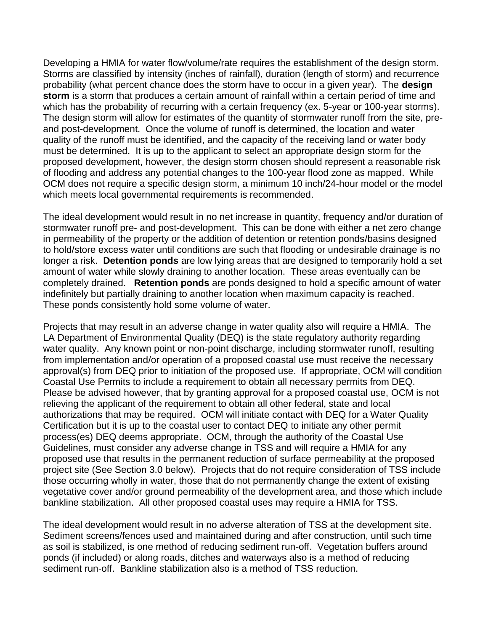Developing a HMIA for water flow/volume/rate requires the establishment of the design storm. Storms are classified by intensity (inches of rainfall), duration (length of storm) and recurrence probability (what percent chance does the storm have to occur in a given year). The **design storm** is a storm that produces a certain amount of rainfall within a certain period of time and which has the probability of recurring with a certain frequency (ex. 5-year or 100-year storms). The design storm will allow for estimates of the quantity of stormwater runoff from the site, preand post-development. Once the volume of runoff is determined, the location and water quality of the runoff must be identified, and the capacity of the receiving land or water body must be determined. It is up to the applicant to select an appropriate design storm for the proposed development, however, the design storm chosen should represent a reasonable risk of flooding and address any potential changes to the 100-year flood zone as mapped. While OCM does not require a specific design storm, a minimum 10 inch/24-hour model or the model which meets local governmental requirements is recommended.

The ideal development would result in no net increase in quantity, frequency and/or duration of stormwater runoff pre- and post-development. This can be done with either a net zero change in permeability of the property or the addition of detention or retention ponds/basins designed to hold/store excess water until conditions are such that flooding or undesirable drainage is no longer a risk. **Detention ponds** are low lying areas that are designed to temporarily hold a set amount of water while slowly draining to another location. These areas eventually can be completely drained. **Retention ponds** are ponds designed to hold a specific amount of water indefinitely but partially draining to another location when maximum capacity is reached. These ponds consistently hold some volume of water.

Projects that may result in an adverse change in water quality also will require a HMIA. The LA Department of Environmental Quality (DEQ) is the state regulatory authority regarding water quality. Any known point or non-point discharge, including stormwater runoff, resulting from implementation and/or operation of a proposed coastal use must receive the necessary approval(s) from DEQ prior to initiation of the proposed use. If appropriate, OCM will condition Coastal Use Permits to include a requirement to obtain all necessary permits from DEQ. Please be advised however, that by granting approval for a proposed coastal use, OCM is not relieving the applicant of the requirement to obtain all other federal, state and local authorizations that may be required. OCM will initiate contact with DEQ for a Water Quality Certification but it is up to the coastal user to contact DEQ to initiate any other permit process(es) DEQ deems appropriate. OCM, through the authority of the Coastal Use Guidelines, must consider any adverse change in TSS and will require a HMIA for any proposed use that results in the permanent reduction of surface permeability at the proposed project site (See Section 3.0 below). Projects that do not require consideration of TSS include those occurring wholly in water, those that do not permanently change the extent of existing vegetative cover and/or ground permeability of the development area, and those which include bankline stabilization. All other proposed coastal uses may require a HMIA for TSS.

The ideal development would result in no adverse alteration of TSS at the development site. Sediment screens/fences used and maintained during and after construction, until such time as soil is stabilized, is one method of reducing sediment run-off. Vegetation buffers around ponds (if included) or along roads, ditches and waterways also is a method of reducing sediment run-off. Bankline stabilization also is a method of TSS reduction.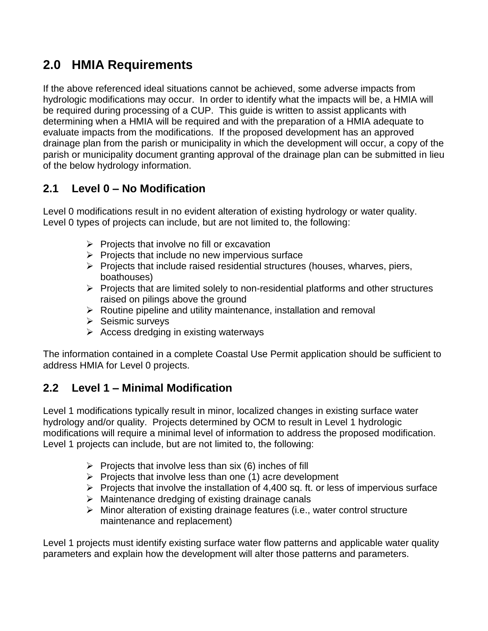# **2.0 HMIA Requirements**

If the above referenced ideal situations cannot be achieved, some adverse impacts from hydrologic modifications may occur. In order to identify what the impacts will be, a HMIA will be required during processing of a CUP. This guide is written to assist applicants with determining when a HMIA will be required and with the preparation of a HMIA adequate to evaluate impacts from the modifications. If the proposed development has an approved drainage plan from the parish or municipality in which the development will occur, a copy of the parish or municipality document granting approval of the drainage plan can be submitted in lieu of the below hydrology information.

### **2.1 Level 0 – No Modification**

Level 0 modifications result in no evident alteration of existing hydrology or water quality. Level 0 types of projects can include, but are not limited to, the following:

- $\triangleright$  Projects that involve no fill or excavation
- $\triangleright$  Projects that include no new impervious surface
- $\triangleright$  Projects that include raised residential structures (houses, wharves, piers, boathouses)
- $\triangleright$  Projects that are limited solely to non-residential platforms and other structures raised on pilings above the ground
- $\triangleright$  Routine pipeline and utility maintenance, installation and removal
- $\triangleright$  Seismic surveys
- $\triangleright$  Access dredging in existing waterways

The information contained in a complete Coastal Use Permit application should be sufficient to address HMIA for Level 0 projects.

### **2.2 Level 1 – Minimal Modification**

Level 1 modifications typically result in minor, localized changes in existing surface water hydrology and/or quality. Projects determined by OCM to result in Level 1 hydrologic modifications will require a minimal level of information to address the proposed modification. Level 1 projects can include, but are not limited to, the following:

- $\triangleright$  Projects that involve less than six (6) inches of fill
- $\triangleright$  Projects that involve less than one (1) acre development
- $\triangleright$  Projects that involve the installation of 4,400 sq. ft. or less of impervious surface
- $\triangleright$  Maintenance dredging of existing drainage canals
- $\triangleright$  Minor alteration of existing drainage features (i.e., water control structure maintenance and replacement)

Level 1 projects must identify existing surface water flow patterns and applicable water quality parameters and explain how the development will alter those patterns and parameters.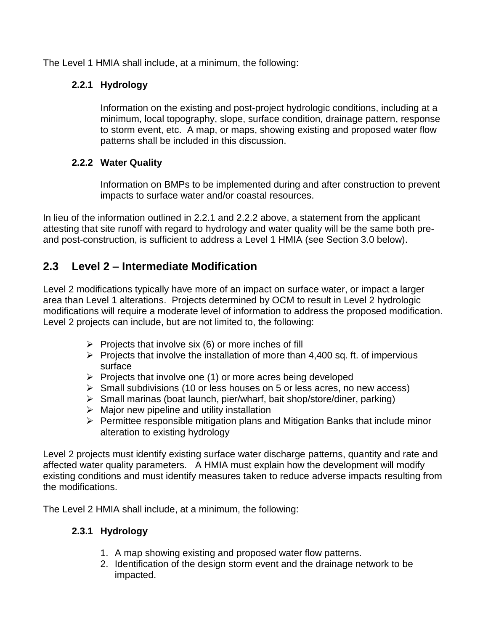The Level 1 HMIA shall include, at a minimum, the following:

#### **2.2.1 Hydrology**

Information on the existing and post-project hydrologic conditions, including at a minimum, local topography, slope, surface condition, drainage pattern, response to storm event, etc. A map, or maps, showing existing and proposed water flow patterns shall be included in this discussion.

#### **2.2.2 Water Quality**

Information on BMPs to be implemented during and after construction to prevent impacts to surface water and/or coastal resources.

In lieu of the information outlined in 2.2.1 and 2.2.2 above, a statement from the applicant attesting that site runoff with regard to hydrology and water quality will be the same both preand post-construction, is sufficient to address a Level 1 HMIA (see Section 3.0 below).

### **2.3 Level 2 – Intermediate Modification**

Level 2 modifications typically have more of an impact on surface water, or impact a larger area than Level 1 alterations. Projects determined by OCM to result in Level 2 hydrologic modifications will require a moderate level of information to address the proposed modification. Level 2 projects can include, but are not limited to, the following:

- $\triangleright$  Projects that involve six (6) or more inches of fill
- $\triangleright$  Projects that involve the installation of more than 4,400 sq. ft. of impervious surface
- $\triangleright$  Projects that involve one (1) or more acres being developed
- $\triangleright$  Small subdivisions (10 or less houses on 5 or less acres, no new access)
- $\triangleright$  Small marinas (boat launch, pier/wharf, bait shop/store/diner, parking)
- $\triangleright$  Major new pipeline and utility installation
- $\triangleright$  Permittee responsible mitigation plans and Mitigation Banks that include minor alteration to existing hydrology

Level 2 projects must identify existing surface water discharge patterns, quantity and rate and affected water quality parameters. A HMIA must explain how the development will modify existing conditions and must identify measures taken to reduce adverse impacts resulting from the modifications.

The Level 2 HMIA shall include, at a minimum, the following:

#### **2.3.1 Hydrology**

- 1. A map showing existing and proposed water flow patterns.
- 2. Identification of the design storm event and the drainage network to be impacted.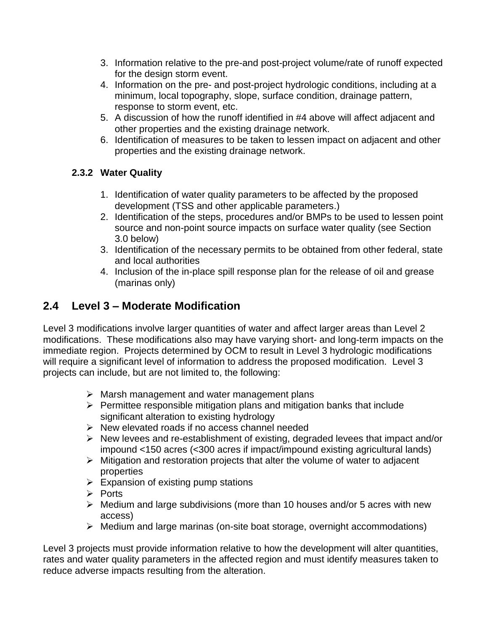- 3. Information relative to the pre-and post-project volume/rate of runoff expected for the design storm event.
- 4. Information on the pre- and post-project hydrologic conditions, including at a minimum, local topography, slope, surface condition, drainage pattern, response to storm event, etc.
- 5. A discussion of how the runoff identified in #4 above will affect adjacent and other properties and the existing drainage network.
- 6. Identification of measures to be taken to lessen impact on adjacent and other properties and the existing drainage network.

#### **2.3.2 Water Quality**

- 1. Identification of water quality parameters to be affected by the proposed development (TSS and other applicable parameters.)
- 2. Identification of the steps, procedures and/or BMPs to be used to lessen point source and non-point source impacts on surface water quality (see Section 3.0 below)
- 3. Identification of the necessary permits to be obtained from other federal, state and local authorities
- 4. Inclusion of the in-place spill response plan for the release of oil and grease (marinas only)

### **2.4 Level 3 – Moderate Modification**

Level 3 modifications involve larger quantities of water and affect larger areas than Level 2 modifications. These modifications also may have varying short- and long-term impacts on the immediate region. Projects determined by OCM to result in Level 3 hydrologic modifications will require a significant level of information to address the proposed modification. Level 3 projects can include, but are not limited to, the following:

- $\triangleright$  Marsh management and water management plans
- $\triangleright$  Permittee responsible mitigation plans and mitigation banks that include significant alteration to existing hydrology
- $\triangleright$  New elevated roads if no access channel needed
- $\triangleright$  New levees and re-establishment of existing, degraded levees that impact and/or impound <150 acres (<300 acres if impact/impound existing agricultural lands)
- $\triangleright$  Mitigation and restoration projects that alter the volume of water to adjacent properties
- $\triangleright$  Expansion of existing pump stations
- $\triangleright$  Ports
- $\triangleright$  Medium and large subdivisions (more than 10 houses and/or 5 acres with new access)
- $\triangleright$  Medium and large marinas (on-site boat storage, overnight accommodations)

Level 3 projects must provide information relative to how the development will alter quantities, rates and water quality parameters in the affected region and must identify measures taken to reduce adverse impacts resulting from the alteration.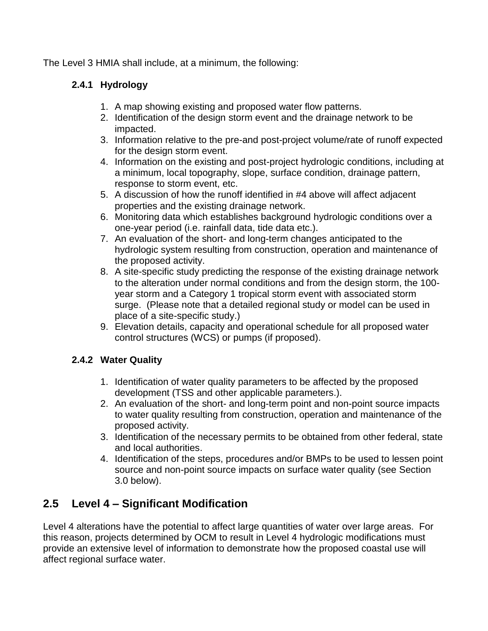The Level 3 HMIA shall include, at a minimum, the following:

#### **2.4.1 Hydrology**

- 1. A map showing existing and proposed water flow patterns.
- 2. Identification of the design storm event and the drainage network to be impacted.
- 3. Information relative to the pre-and post-project volume/rate of runoff expected for the design storm event.
- 4. Information on the existing and post-project hydrologic conditions, including at a minimum, local topography, slope, surface condition, drainage pattern, response to storm event, etc.
- 5. A discussion of how the runoff identified in #4 above will affect adjacent properties and the existing drainage network.
- 6. Monitoring data which establishes background hydrologic conditions over a one-year period (i.e. rainfall data, tide data etc.).
- 7. An evaluation of the short- and long-term changes anticipated to the hydrologic system resulting from construction, operation and maintenance of the proposed activity.
- 8. A site-specific study predicting the response of the existing drainage network to the alteration under normal conditions and from the design storm, the 100 year storm and a Category 1 tropical storm event with associated storm surge. (Please note that a detailed regional study or model can be used in place of a site-specific study.)
- 9. Elevation details, capacity and operational schedule for all proposed water control structures (WCS) or pumps (if proposed).

#### **2.4.2 Water Quality**

- 1. Identification of water quality parameters to be affected by the proposed development (TSS and other applicable parameters.).
- 2. An evaluation of the short- and long-term point and non-point source impacts to water quality resulting from construction, operation and maintenance of the proposed activity.
- 3. Identification of the necessary permits to be obtained from other federal, state and local authorities.
- 4. Identification of the steps, procedures and/or BMPs to be used to lessen point source and non-point source impacts on surface water quality (see Section 3.0 below).

### **2.5 Level 4 – Significant Modification**

Level 4 alterations have the potential to affect large quantities of water over large areas. For this reason, projects determined by OCM to result in Level 4 hydrologic modifications must provide an extensive level of information to demonstrate how the proposed coastal use will affect regional surface water.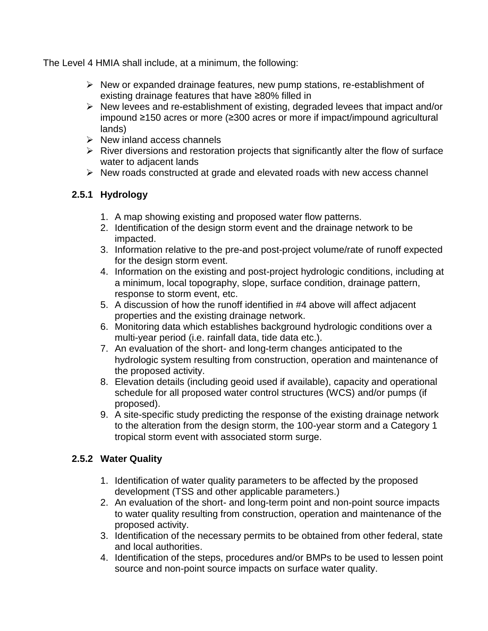The Level 4 HMIA shall include, at a minimum, the following:

- $\triangleright$  New or expanded drainage features, new pump stations, re-establishment of existing drainage features that have ≥80% filled in
- $\triangleright$  New levees and re-establishment of existing, degraded levees that impact and/or impound ≥150 acres or more (≥300 acres or more if impact/impound agricultural lands)
- $\triangleright$  New inland access channels
- $\triangleright$  River diversions and restoration projects that significantly alter the flow of surface water to adjacent lands
- $\triangleright$  New roads constructed at grade and elevated roads with new access channel

#### **2.5.1 Hydrology**

- 1. A map showing existing and proposed water flow patterns.
- 2. Identification of the design storm event and the drainage network to be impacted.
- 3. Information relative to the pre-and post-project volume/rate of runoff expected for the design storm event.
- 4. Information on the existing and post-project hydrologic conditions, including at a minimum, local topography, slope, surface condition, drainage pattern, response to storm event, etc.
- 5. A discussion of how the runoff identified in #4 above will affect adjacent properties and the existing drainage network.
- 6. Monitoring data which establishes background hydrologic conditions over a multi-year period (i.e. rainfall data, tide data etc.).
- 7. An evaluation of the short- and long-term changes anticipated to the hydrologic system resulting from construction, operation and maintenance of the proposed activity.
- 8. Elevation details (including geoid used if available), capacity and operational schedule for all proposed water control structures (WCS) and/or pumps (if proposed).
- 9. A site-specific study predicting the response of the existing drainage network to the alteration from the design storm, the 100-year storm and a Category 1 tropical storm event with associated storm surge.

#### **2.5.2 Water Quality**

- 1. Identification of water quality parameters to be affected by the proposed development (TSS and other applicable parameters.)
- 2. An evaluation of the short- and long-term point and non-point source impacts to water quality resulting from construction, operation and maintenance of the proposed activity.
- 3. Identification of the necessary permits to be obtained from other federal, state and local authorities.
- 4. Identification of the steps, procedures and/or BMPs to be used to lessen point source and non-point source impacts on surface water quality.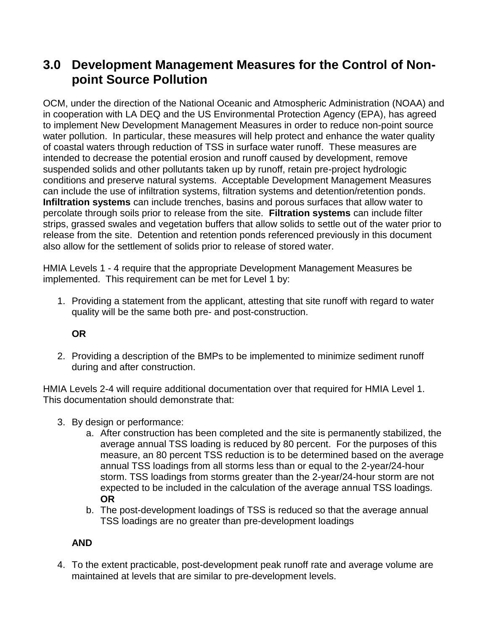## **3.0 Development Management Measures for the Control of Nonpoint Source Pollution**

OCM, under the direction of the National Oceanic and Atmospheric Administration (NOAA) and in cooperation with LA DEQ and the US Environmental Protection Agency (EPA), has agreed to implement New Development Management Measures in order to reduce non-point source water pollution. In particular, these measures will help protect and enhance the water quality of coastal waters through reduction of TSS in surface water runoff. These measures are intended to decrease the potential erosion and runoff caused by development, remove suspended solids and other pollutants taken up by runoff, retain pre-project hydrologic conditions and preserve natural systems. Acceptable Development Management Measures can include the use of infiltration systems, filtration systems and detention/retention ponds. **Infiltration systems** can include trenches, basins and porous surfaces that allow water to percolate through soils prior to release from the site. **Filtration systems** can include filter strips, grassed swales and vegetation buffers that allow solids to settle out of the water prior to release from the site. Detention and retention ponds referenced previously in this document also allow for the settlement of solids prior to release of stored water.

HMIA Levels 1 - 4 require that the appropriate Development Management Measures be implemented. This requirement can be met for Level 1 by:

1. Providing a statement from the applicant, attesting that site runoff with regard to water quality will be the same both pre- and post-construction.

#### **OR**

2. Providing a description of the BMPs to be implemented to minimize sediment runoff during and after construction.

HMIA Levels 2-4 will require additional documentation over that required for HMIA Level 1. This documentation should demonstrate that:

- 3. By design or performance:
	- a. After construction has been completed and the site is permanently stabilized, the average annual TSS loading is reduced by 80 percent. For the purposes of this measure, an 80 percent TSS reduction is to be determined based on the average annual TSS loadings from all storms less than or equal to the 2-year/24-hour storm. TSS loadings from storms greater than the 2-year/24-hour storm are not expected to be included in the calculation of the average annual TSS loadings. **OR**
	- b. The post-development loadings of TSS is reduced so that the average annual TSS loadings are no greater than pre-development loadings

#### **AND**

4. To the extent practicable, post-development peak runoff rate and average volume are maintained at levels that are similar to pre-development levels.